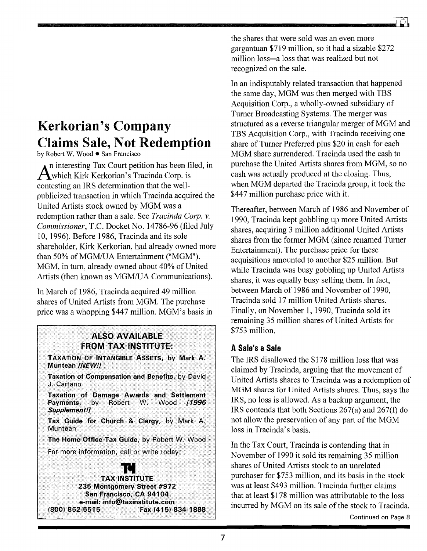## **Kerkorian's Company Claims Sale, Not Redemption**

by Robert W. Wood • San Francisco

n interesting Tax Court petition has been filed, in Awhich Kirk Kerkorian's Tracinda Corp. is contesting an IRS determination that the wellpublicized transaction in which Tracinda acquired the United Artists stock owned by MGM was a redemption rather than a sale. See Tracinda Corp. v. Commissioner, T.C. Docket No. 14786-96 (filed July 10, 1996). Before 1986, Tracinda and its sole shareholder, Kirk Kerkorian, had already owned more than 50% of MGM/UA Entertainment ("MGM"). MGM, in turn, already owned about 40% of United Artists (then known as MGM/UA Communications).

In March of 1986, Tracinda acquired 49 million shares of United Artists from MGM. The purchase price was a whopping \$447 million. MGM's basis in

## **ALSO AVAILABLE FROM TAX INSTITUTE:**

**TAXATION OF INTANGIBLE ASSETS. by Mark A.** Muntean INEW!!

Taxation of Compensation and Benefits, by David J. Cartano

Taxation of Damage Awards and Settlement Payments, by Robert W. Wood **/1996** Supplement!]

Tax Guide for Church & Clergy, by Mark A. Muntean

The Home Office Tax Guide, by Robert W. Wood

For more information, call or write today:



the shares that were sold was an even more gargantuan \$719 million, so it had a sizable \$272 million loss—a loss that was realized but not recognized on the sale.

In an indisputably related transaction that happened the same day, MGM was then merged with TBS Acquisition Corp., a wholly-owned subsidiary of Turner Broadcasting Systems. The merger was structured as a reverse triangular merger of MGM and TBS Acquisition Corp., with Tracinda receiving one share of Turner Preferred plus \$20 in cash for each MGM share surrendered. Tracinda used the cash to purchase the United Artists shares from MGM, so no cash was actually produced at the closing. Thus, when MGM departed the Tracinda group, it took the \$447 million purchase price with it.

Thereafter, between March of 1986 and November of 1990, Tracinda kept gobbling up more United Artists shares, acquiring 3 million additional United Artists shares from the former MGM (since renamed Turner Entertainment). The purchase price for these acquisitions amounted to another \$25 million. But while Tracinda was busy gobbling up United Artists shares, it was equally busy selling them. In fact, between March of 1986 and November of 1990. Tracinda sold 17 million United Artists shares. Finally, on November 1, 1990, Tracinda sold its remaining 35 million shares of United Artists for \$753 million.

## A Sale's a Sale

The IRS disallowed the \$178 million loss that was claimed by Tracinda, arguing that the movement of United Artists shares to Tracinda was a redemption of MGM shares for United Artists shares. Thus, says the IRS, no loss is allowed. As a backup argument, the IRS contends that both Sections 267(a) and 267(f) do not allow the preservation of any part of the MGM loss in Tracinda's basis.

In the Tax Court, Tracinda is contending that in November of 1990 it sold its remaining 35 million shares of United Artists stock to an unrelated purchaser for \$753 million, and its basis in the stock was at least \$493 million. Tracinda further claims that at least \$178 million was attributable to the loss incurred by MGM on its sale of the stock to Tracinda.